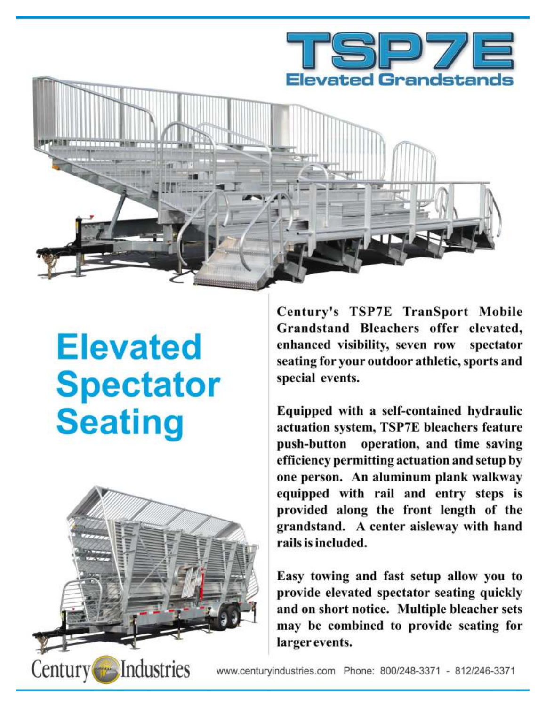

# **Elevated Spectator Seating**



Century's TSP7E TranSport Mobile Grandstand Bleachers offer elevated, enhanced visibility, seven row spectator seating for your outdoor athletic, sports and special events.

Equipped with a self-contained hydraulic actuation system, TSP7E bleachers feature push-button operation, and time saving efficiency permitting actuation and setup by one person. An aluminum plank walkway equipped with rail and entry steps is provided along the front length of the grandstand. A center aisleway with hand rails is included.

Easy towing and fast setup allow you to provide elevated spectator seating quickly and on short notice. Multiple bleacher sets may be combined to provide seating for larger events.

www.centuryindustries.com Phone: 800/248-3371 - 812/246-3371